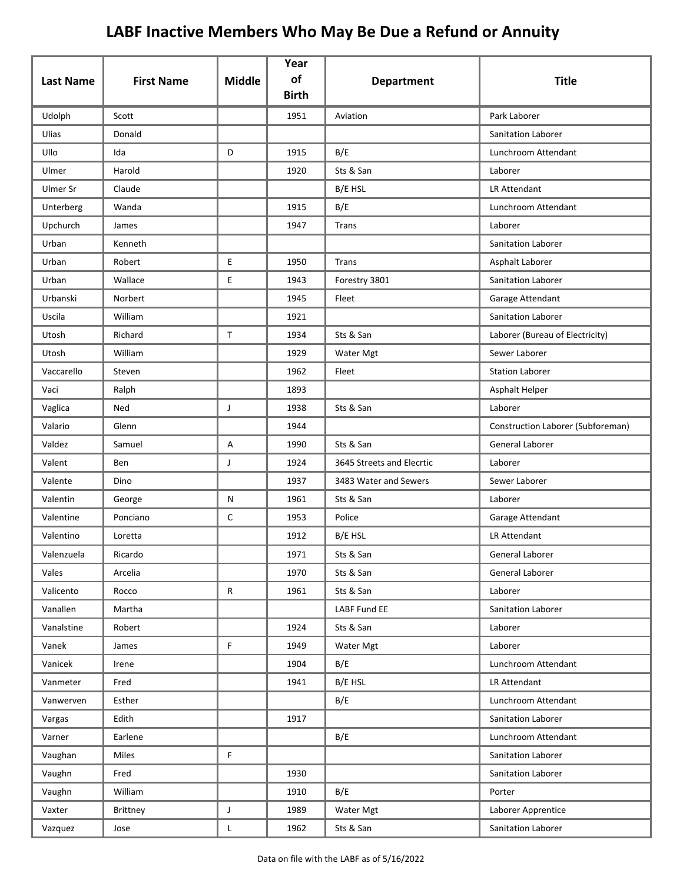| <b>Last Name</b> | <b>First Name</b> | <b>Middle</b> | Year<br>of<br><b>Birth</b> | <b>Department</b>         | <b>Title</b>                      |
|------------------|-------------------|---------------|----------------------------|---------------------------|-----------------------------------|
| Udolph           | Scott             |               | 1951                       | Aviation                  | Park Laborer                      |
| Ulias            | Donald            |               |                            |                           | Sanitation Laborer                |
| Ullo             | Ida               | D             | 1915                       | B/E                       | Lunchroom Attendant               |
| Ulmer            | Harold            |               | 1920                       | Sts & San                 | Laborer                           |
| Ulmer Sr         | Claude            |               |                            | B/E HSL                   | LR Attendant                      |
| Unterberg        | Wanda             |               | 1915                       | B/E                       | Lunchroom Attendant               |
| Upchurch         | James             |               | 1947                       | Trans                     | Laborer                           |
| Urban            | Kenneth           |               |                            |                           | Sanitation Laborer                |
| Urban            | Robert            | E             | 1950                       | Trans                     | Asphalt Laborer                   |
| Urban            | Wallace           | E             | 1943                       | Forestry 3801             | Sanitation Laborer                |
| Urbanski         | Norbert           |               | 1945                       | Fleet                     | Garage Attendant                  |
| Uscila           | William           |               | 1921                       |                           | Sanitation Laborer                |
| Utosh            | Richard           | $\mathsf{T}$  | 1934                       | Sts & San                 | Laborer (Bureau of Electricity)   |
| Utosh            | William           |               | 1929                       | Water Mgt                 | Sewer Laborer                     |
| Vaccarello       | Steven            |               | 1962                       | Fleet                     | <b>Station Laborer</b>            |
| Vaci             | Ralph             |               | 1893                       |                           | Asphalt Helper                    |
| Vaglica          | Ned               | J             | 1938                       | Sts & San                 | Laborer                           |
| Valario          | Glenn             |               | 1944                       |                           | Construction Laborer (Subforeman) |
| Valdez           | Samuel            | А             | 1990                       | Sts & San                 | <b>General Laborer</b>            |
| Valent           | Ben               | J             | 1924                       | 3645 Streets and Elecrtic | Laborer                           |
| Valente          | Dino              |               | 1937                       | 3483 Water and Sewers     | Sewer Laborer                     |
| Valentin         | George            | N             | 1961                       | Sts & San                 | Laborer                           |
| Valentine        | Ponciano          | С             | 1953                       | Police                    | Garage Attendant                  |
| Valentino        | Loretta           |               | 1912                       | B/E HSL                   | LR Attendant                      |
| Valenzuela       | Ricardo           |               | 1971                       | Sts & San                 | General Laborer                   |
| Vales            | Arcelia           |               | 1970                       | Sts & San                 | General Laborer                   |
| Valicento        | Rocco             | R             | 1961                       | Sts & San                 | Laborer                           |
| Vanallen         | Martha            |               |                            | LABF Fund EE              | Sanitation Laborer                |
| Vanalstine       | Robert            |               | 1924                       | Sts & San                 | Laborer                           |
| Vanek            | James             | F             | 1949                       | Water Mgt                 | Laborer                           |
| Vanicek          | Irene             |               | 1904                       | B/E                       | Lunchroom Attendant               |
| Vanmeter         | Fred              |               | 1941                       | B/E HSL                   | LR Attendant                      |
| Vanwerven        | Esther            |               |                            | B/E                       | Lunchroom Attendant               |
| Vargas           | Edith             |               | 1917                       |                           | Sanitation Laborer                |
| Varner           | Earlene           |               |                            | B/E                       | Lunchroom Attendant               |
| Vaughan          | Miles             | F             |                            |                           | Sanitation Laborer                |
| Vaughn           | Fred              |               | 1930                       |                           | Sanitation Laborer                |
| Vaughn           | William           |               | 1910                       | B/E                       | Porter                            |
| Vaxter           | <b>Brittney</b>   | $\mathsf{J}$  | 1989                       | Water Mgt                 | Laborer Apprentice                |
| Vazquez          | Jose              | L             | 1962                       | Sts & San                 | Sanitation Laborer                |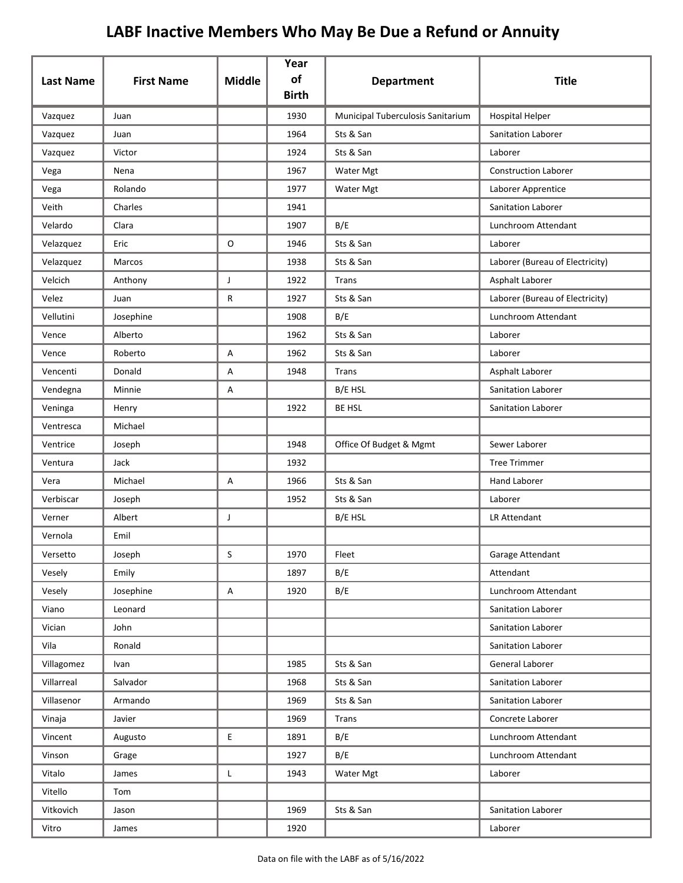|                  |                   |               | Year               |                                   |                                 |
|------------------|-------------------|---------------|--------------------|-----------------------------------|---------------------------------|
| <b>Last Name</b> | <b>First Name</b> | <b>Middle</b> | of<br><b>Birth</b> | <b>Department</b>                 | <b>Title</b>                    |
| Vazquez          | Juan              |               | 1930               | Municipal Tuberculosis Sanitarium | <b>Hospital Helper</b>          |
| Vazquez          | Juan              |               | 1964               | Sts & San                         | Sanitation Laborer              |
| Vazquez          | Victor            |               | 1924               | Sts & San                         | Laborer                         |
| Vega             | Nena              |               | 1967               | Water Mgt                         | <b>Construction Laborer</b>     |
| Vega             | Rolando           |               | 1977               | Water Mgt                         | Laborer Apprentice              |
| Veith            | Charles           |               | 1941               |                                   | Sanitation Laborer              |
| Velardo          | Clara             |               | 1907               | B/E                               | Lunchroom Attendant             |
| Velazquez        | Eric              | $\mathsf O$   | 1946               | Sts & San                         | Laborer                         |
| Velazquez        | <b>Marcos</b>     |               | 1938               | Sts & San                         | Laborer (Bureau of Electricity) |
| Velcich          | Anthony           | J             | 1922               | Trans                             | Asphalt Laborer                 |
| Velez            | Juan              | R             | 1927               | Sts & San                         | Laborer (Bureau of Electricity) |
| Vellutini        | Josephine         |               | 1908               | B/E                               | Lunchroom Attendant             |
| Vence            | Alberto           |               | 1962               | Sts & San                         | Laborer                         |
| Vence            | Roberto           | Α             | 1962               | Sts & San                         | Laborer                         |
| Vencenti         | Donald            | Α             | 1948               | Trans                             | Asphalt Laborer                 |
| Vendegna         | Minnie            | Α             |                    | B/E HSL                           | Sanitation Laborer              |
| Veninga          | Henry             |               | 1922               | <b>BE HSL</b>                     | Sanitation Laborer              |
| Ventresca        | Michael           |               |                    |                                   |                                 |
| Ventrice         | Joseph            |               | 1948               | Office Of Budget & Mgmt           | Sewer Laborer                   |
| Ventura          | Jack              |               | 1932               |                                   | <b>Tree Trimmer</b>             |
| Vera             | Michael           | Α             | 1966               | Sts & San                         | <b>Hand Laborer</b>             |
| Verbiscar        | Joseph            |               | 1952               | Sts & San                         | Laborer                         |
| Verner           | Albert            | J             |                    | B/E HSL                           | LR Attendant                    |
| Vernola          | Emil              |               |                    |                                   |                                 |
| Versetto         | Joseph            | S             | 1970               | Fleet                             | Garage Attendant                |
| Vesely           | Emily             |               | 1897               | B/E                               | Attendant                       |
| Vesely           | Josephine         | A             | 1920               | B/E                               | Lunchroom Attendant             |
| Viano            | Leonard           |               |                    |                                   | Sanitation Laborer              |
| Vician           | John              |               |                    |                                   | Sanitation Laborer              |
| Vila             | Ronald            |               |                    |                                   | Sanitation Laborer              |
| Villagomez       | Ivan              |               | 1985               | Sts & San                         | General Laborer                 |
| Villarreal       | Salvador          |               | 1968               | Sts & San                         | Sanitation Laborer              |
| Villasenor       | Armando           |               | 1969               | Sts & San                         | Sanitation Laborer              |
| Vinaja           | Javier            |               | 1969               | Trans                             | Concrete Laborer                |
| Vincent          | Augusto           | E.            | 1891               | B/E                               | Lunchroom Attendant             |
| Vinson           | Grage             |               | 1927               | B/E                               | Lunchroom Attendant             |
| Vitalo           | James             | L             | 1943               | Water Mgt                         | Laborer                         |
| Vitello          | Tom               |               |                    |                                   |                                 |
| Vitkovich        | Jason             |               | 1969               | Sts & San                         | Sanitation Laborer              |
| Vitro            | James             |               | 1920               |                                   | Laborer                         |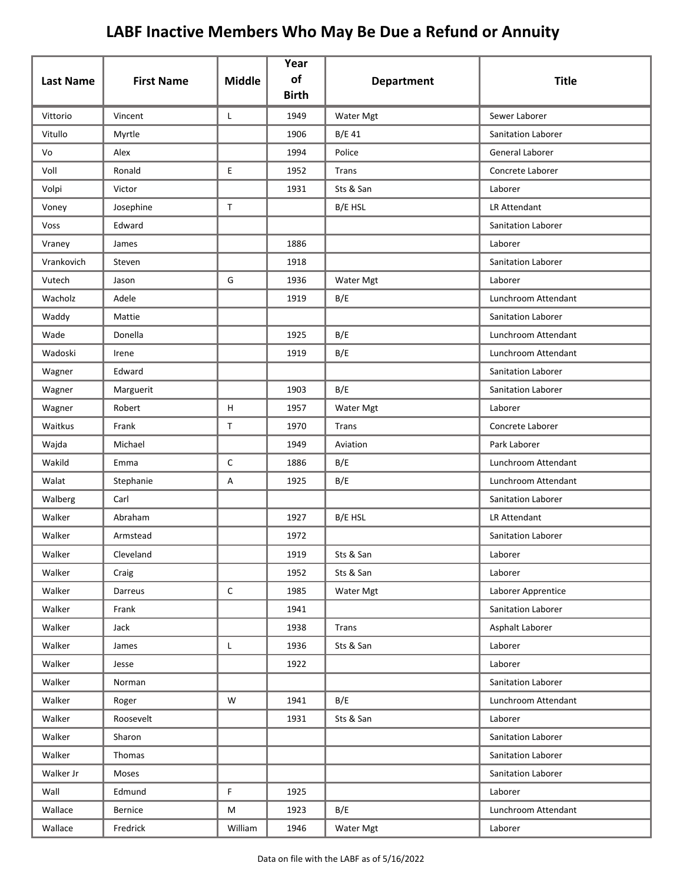| <b>Last Name</b> | <b>First Name</b> | <b>Middle</b> | Year<br>of   | <b>Department</b> | <b>Title</b>              |
|------------------|-------------------|---------------|--------------|-------------------|---------------------------|
|                  |                   |               | <b>Birth</b> |                   |                           |
| Vittorio         | Vincent           | L             | 1949         | Water Mgt         | Sewer Laborer             |
| Vitullo          | Myrtle            |               | 1906         | B/E 41            | <b>Sanitation Laborer</b> |
| Vo               | Alex              |               | 1994         | Police            | General Laborer           |
| Voll             | Ronald            | E.            | 1952         | Trans             | Concrete Laborer          |
| Volpi            | Victor            |               | 1931         | Sts & San         | Laborer                   |
| Voney            | Josephine         | $\mathsf{T}$  |              | B/E HSL           | LR Attendant              |
| Voss             | Edward            |               |              |                   | Sanitation Laborer        |
| Vraney           | James             |               | 1886         |                   | Laborer                   |
| Vrankovich       | Steven            |               | 1918         |                   | <b>Sanitation Laborer</b> |
| Vutech           | Jason             | G             | 1936         | Water Mgt         | Laborer                   |
| Wacholz          | Adele             |               | 1919         | B/E               | Lunchroom Attendant       |
| Waddy            | Mattie            |               |              |                   | <b>Sanitation Laborer</b> |
| Wade             | Donella           |               | 1925         | B/E               | Lunchroom Attendant       |
| Wadoski          | Irene             |               | 1919         | B/E               | Lunchroom Attendant       |
| Wagner           | Edward            |               |              |                   | Sanitation Laborer        |
| Wagner           | Marguerit         |               | 1903         | B/E               | Sanitation Laborer        |
| Wagner           | Robert            | H             | 1957         | Water Mgt         | Laborer                   |
| Waitkus          | Frank             | T             | 1970         | Trans             | Concrete Laborer          |
| Wajda            | Michael           |               | 1949         | Aviation          | Park Laborer              |
| Wakild           | Emma              | $\mathsf{C}$  | 1886         | B/E               | Lunchroom Attendant       |
| Walat            | Stephanie         | Α             | 1925         | B/E               | Lunchroom Attendant       |
| Walberg          | Carl              |               |              |                   | Sanitation Laborer        |
| Walker           | Abraham           |               | 1927         | B/E HSL           | LR Attendant              |
| Walker           | Armstead          |               | 1972         |                   | <b>Sanitation Laborer</b> |
| Walker           | Cleveland         |               | 1919         | Sts & San         | Laborer                   |
| Walker           | Craig             |               | 1952         | Sts & San         | Laborer                   |
| Walker           | Darreus           | $\mathsf C$   | 1985         | Water Mgt         | Laborer Apprentice        |
| Walker           | Frank             |               | 1941         |                   | Sanitation Laborer        |
| Walker           | Jack              |               | 1938         | Trans             | Asphalt Laborer           |
| Walker           | James             | L             | 1936         | Sts & San         | Laborer                   |
| Walker           | Jesse             |               | 1922         |                   | Laborer                   |
| Walker           | Norman            |               |              |                   | Sanitation Laborer        |
| Walker           | Roger             | W             | 1941         | B/E               | Lunchroom Attendant       |
| Walker           | Roosevelt         |               | 1931         | Sts & San         | Laborer                   |
| Walker           | Sharon            |               |              |                   | Sanitation Laborer        |
| Walker           | Thomas            |               |              |                   | Sanitation Laborer        |
| Walker Jr        | Moses             |               |              |                   | Sanitation Laborer        |
| Wall             | Edmund            | F.            | 1925         |                   | Laborer                   |
| Wallace          | Bernice           | M             | 1923         | B/E               | Lunchroom Attendant       |
| Wallace          | Fredrick          | William       | 1946         | Water Mgt         | Laborer                   |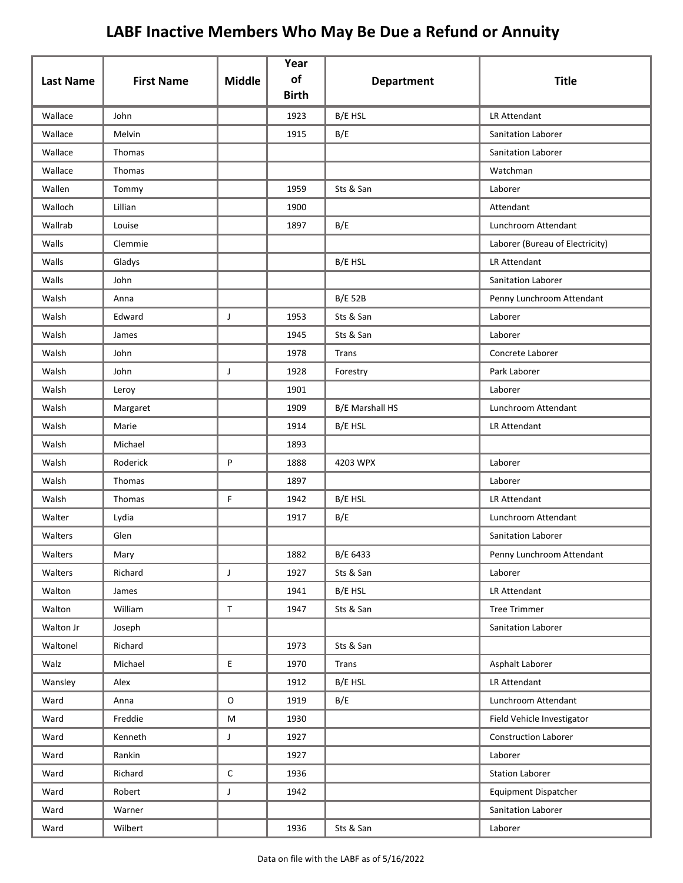| <b>Last Name</b> | <b>First Name</b> | <b>Middle</b> | Year<br>of   | <b>Department</b>      | <b>Title</b>                    |
|------------------|-------------------|---------------|--------------|------------------------|---------------------------------|
|                  |                   |               | <b>Birth</b> |                        |                                 |
| Wallace          | John              |               | 1923         | B/E HSL                | LR Attendant                    |
| Wallace          | Melvin            |               | 1915         | B/E                    | Sanitation Laborer              |
| Wallace          | Thomas            |               |              |                        | Sanitation Laborer              |
| Wallace          | Thomas            |               |              |                        | Watchman                        |
| Wallen           | Tommy             |               | 1959         | Sts & San              | Laborer                         |
| Walloch          | Lillian           |               | 1900         |                        | Attendant                       |
| Wallrab          | Louise            |               | 1897         | B/E                    | Lunchroom Attendant             |
| Walls            | Clemmie           |               |              |                        | Laborer (Bureau of Electricity) |
| Walls            | Gladys            |               |              | B/E HSL                | LR Attendant                    |
| Walls            | John              |               |              |                        | Sanitation Laborer              |
| Walsh            | Anna              |               |              | <b>B/E 52B</b>         | Penny Lunchroom Attendant       |
| Walsh            | Edward            | J             | 1953         | Sts & San              | Laborer                         |
| Walsh            | James             |               | 1945         | Sts & San              | Laborer                         |
| Walsh            | John              |               | 1978         | Trans                  | Concrete Laborer                |
| Walsh            | John              | J             | 1928         | Forestry               | Park Laborer                    |
| Walsh            | Leroy             |               | 1901         |                        | Laborer                         |
| Walsh            | Margaret          |               | 1909         | <b>B/E Marshall HS</b> | Lunchroom Attendant             |
| Walsh            | Marie             |               | 1914         | B/E HSL                | LR Attendant                    |
| Walsh            | Michael           |               | 1893         |                        |                                 |
| Walsh            | Roderick          | P             | 1888         | 4203 WPX               | Laborer                         |
| Walsh            | Thomas            |               | 1897         |                        | Laborer                         |
| Walsh            | Thomas            | F.            | 1942         | B/E HSL                | LR Attendant                    |
| Walter           | Lydia             |               | 1917         | B/E                    | Lunchroom Attendant             |
| Walters          | Glen              |               |              |                        | Sanitation Laborer              |
| Walters          | Mary              |               | 1882         | B/E 6433               | Penny Lunchroom Attendant       |
| Walters          | Richard           | $\mathsf J$   | 1927         | Sts & San              | Laborer                         |
| Walton           | James             |               | 1941         | B/E HSL                | LR Attendant                    |
| Walton           | William           | $\mathsf T$   | 1947         | Sts & San              | <b>Tree Trimmer</b>             |
| Walton Jr        | Joseph            |               |              |                        | Sanitation Laborer              |
| Waltonel         | Richard           |               | 1973         | Sts & San              |                                 |
| Walz             | Michael           | E             | 1970         | Trans                  | Asphalt Laborer                 |
| Wansley          | Alex              |               | 1912         | B/E HSL                | LR Attendant                    |
| Ward             | Anna              | $\mathsf O$   | 1919         | B/E                    | Lunchroom Attendant             |
| Ward             | Freddie           | ${\sf M}$     | 1930         |                        | Field Vehicle Investigator      |
| Ward             | Kenneth           | J             | 1927         |                        | <b>Construction Laborer</b>     |
| Ward             | Rankin            |               | 1927         |                        | Laborer                         |
| Ward             | Richard           | $\mathsf C$   | 1936         |                        | <b>Station Laborer</b>          |
| Ward             | Robert            | $\mathsf J$   | 1942         |                        | <b>Equipment Dispatcher</b>     |
| Ward             | Warner            |               |              |                        | Sanitation Laborer              |
| Ward             | Wilbert           |               | 1936         | Sts & San              | Laborer                         |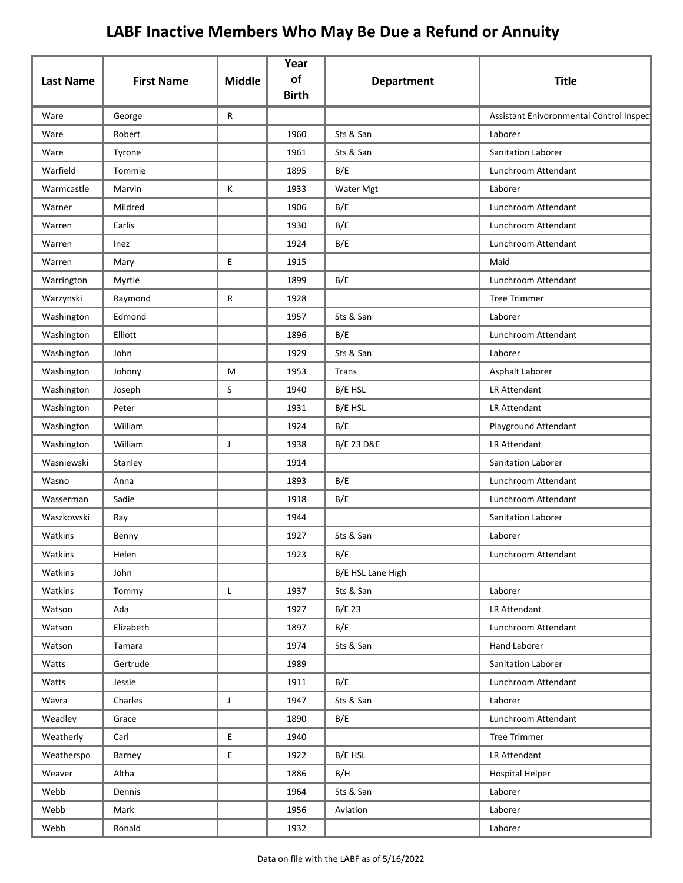| <b>Last Name</b> | <b>First Name</b> | <b>Middle</b>                              | Year<br>of<br><b>Birth</b> | <b>Department</b>     | <b>Title</b>                             |
|------------------|-------------------|--------------------------------------------|----------------------------|-----------------------|------------------------------------------|
| Ware             | George            | R                                          |                            |                       | Assistant Enivoronmental Control Inspect |
| Ware             | Robert            |                                            | 1960                       | Sts & San             | Laborer                                  |
| Ware             | Tyrone            |                                            | 1961                       | Sts & San             | Sanitation Laborer                       |
| Warfield         | Tommie            |                                            | 1895                       | B/E                   | Lunchroom Attendant                      |
| Warmcastle       | Marvin            | К                                          | 1933                       | Water Mgt             | Laborer                                  |
| Warner           | Mildred           |                                            | 1906                       | B/E                   | Lunchroom Attendant                      |
| Warren           | Earlis            |                                            | 1930                       | B/E                   | Lunchroom Attendant                      |
| Warren           | Inez              |                                            | 1924                       | B/E                   | Lunchroom Attendant                      |
| Warren           | Mary              | E                                          | 1915                       |                       | Maid                                     |
| Warrington       | Myrtle            |                                            | 1899                       | B/E                   | Lunchroom Attendant                      |
| Warzynski        | Raymond           | R                                          | 1928                       |                       | <b>Tree Trimmer</b>                      |
| Washington       | Edmond            |                                            | 1957                       | Sts & San             | Laborer                                  |
| Washington       | Elliott           |                                            | 1896                       | B/E                   | Lunchroom Attendant                      |
| Washington       | John              |                                            | 1929                       | Sts & San             | Laborer                                  |
| Washington       | Johnny            | M                                          | 1953                       | Trans                 | Asphalt Laborer                          |
| Washington       | Joseph            | S                                          | 1940                       | B/E HSL               | LR Attendant                             |
| Washington       | Peter             |                                            | 1931                       | B/E HSL               | LR Attendant                             |
| Washington       | William           |                                            | 1924                       | B/E                   | Playground Attendant                     |
| Washington       | William           | J                                          | 1938                       | <b>B/E 23 D&amp;E</b> | LR Attendant                             |
| Wasniewski       | Stanley           |                                            | 1914                       |                       | Sanitation Laborer                       |
| Wasno            | Anna              |                                            | 1893                       | B/E                   | Lunchroom Attendant                      |
| Wasserman        | Sadie             |                                            | 1918                       | B/E                   | Lunchroom Attendant                      |
| Waszkowski       | Ray               |                                            | 1944                       |                       | <b>Sanitation Laborer</b>                |
| Watkins          | Benny             |                                            | 1927                       | Sts & San             | Laborer                                  |
| Watkins          | Helen             |                                            | 1923                       | B/E                   | Lunchroom Attendant                      |
| Watkins          | John              |                                            |                            | B/E HSL Lane High     |                                          |
| Watkins          | Tommy             | L                                          | 1937                       | Sts & San             | Laborer                                  |
| Watson           | Ada               |                                            | 1927                       | B/E 23                | LR Attendant                             |
| Watson           | Elizabeth         |                                            | 1897                       | B/E                   | Lunchroom Attendant                      |
| Watson           | Tamara            |                                            | 1974                       | Sts & San             | Hand Laborer                             |
| Watts            | Gertrude          |                                            | 1989                       |                       | Sanitation Laborer                       |
| Watts            | Jessie            |                                            | 1911                       | B/E                   | Lunchroom Attendant                      |
| Wavra            | Charles           | $\mathsf{J}$                               | 1947                       | Sts & San             | Laborer                                  |
| Weadley          | Grace             |                                            | 1890                       | B/E                   | Lunchroom Attendant                      |
| Weatherly        | Carl              | $\mathsf{E}% _{0}\left( \mathsf{E}\right)$ | 1940                       |                       | <b>Tree Trimmer</b>                      |
| Weatherspo       | Barney            | $\mathsf{E}% _{0}\left( \mathsf{E}\right)$ | 1922                       | B/E HSL               | LR Attendant                             |
| Weaver           | Altha             |                                            | 1886                       | B/H                   | <b>Hospital Helper</b>                   |
| Webb             | Dennis            |                                            | 1964                       | Sts & San             | Laborer                                  |
| Webb             | Mark              |                                            | 1956                       | Aviation              | Laborer                                  |
| Webb             | Ronald            |                                            | 1932                       |                       | Laborer                                  |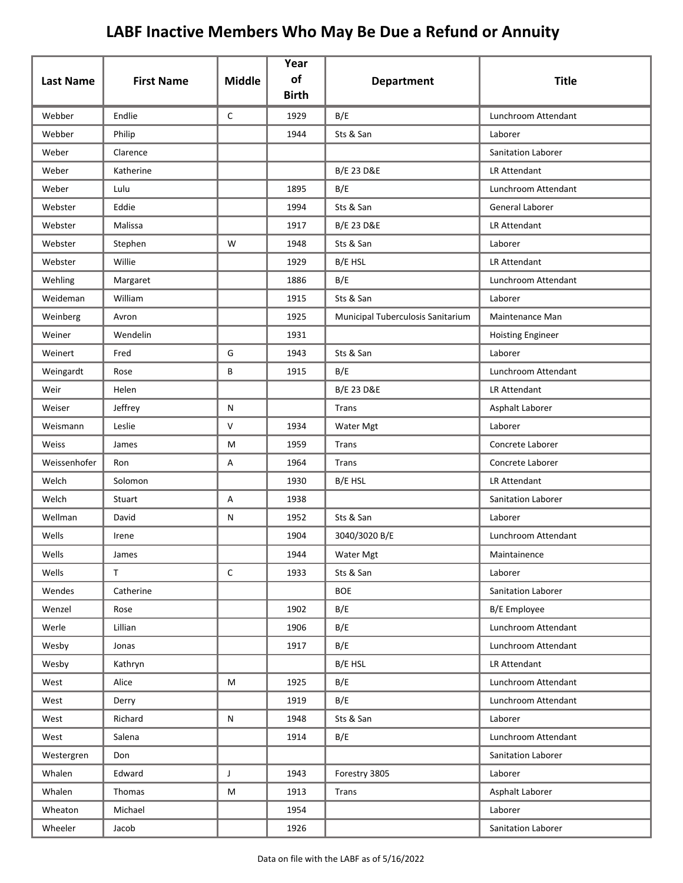|                  |                   |               | Year<br>of   |                                   |                          |
|------------------|-------------------|---------------|--------------|-----------------------------------|--------------------------|
| <b>Last Name</b> | <b>First Name</b> | <b>Middle</b> | <b>Birth</b> | <b>Department</b>                 | <b>Title</b>             |
| Webber           | Endlie            | $\mathsf{C}$  | 1929         | B/E                               | Lunchroom Attendant      |
| Webber           | Philip            |               | 1944         | Sts & San                         | Laborer                  |
| Weber            | Clarence          |               |              |                                   | Sanitation Laborer       |
| Weber            | Katherine         |               |              | <b>B/E 23 D&amp;E</b>             | LR Attendant             |
| Weber            | Lulu              |               | 1895         | B/E                               | Lunchroom Attendant      |
| Webster          | Eddie             |               | 1994         | Sts & San                         | General Laborer          |
| Webster          | Malissa           |               | 1917         | <b>B/E 23 D&amp;E</b>             | LR Attendant             |
| Webster          | Stephen           | W             | 1948         | Sts & San                         | Laborer                  |
| Webster          | Willie            |               | 1929         | B/E HSL                           | LR Attendant             |
| Wehling          | Margaret          |               | 1886         | B/E                               | Lunchroom Attendant      |
| Weideman         | William           |               | 1915         | Sts & San                         | Laborer                  |
| Weinberg         | Avron             |               | 1925         | Municipal Tuberculosis Sanitarium | Maintenance Man          |
| Weiner           | Wendelin          |               | 1931         |                                   | <b>Hoisting Engineer</b> |
| Weinert          | Fred              | G             | 1943         | Sts & San                         | Laborer                  |
| Weingardt        | Rose              | B             | 1915         | B/E                               | Lunchroom Attendant      |
| Weir             | Helen             |               |              | <b>B/E 23 D&amp;E</b>             | LR Attendant             |
| Weiser           | Jeffrey           | N             |              | Trans                             | Asphalt Laborer          |
| Weismann         | Leslie            | V             | 1934         | Water Mgt                         | Laborer                  |
| Weiss            | James             | M             | 1959         | Trans                             | Concrete Laborer         |
| Weissenhofer     | Ron               | Α             | 1964         | Trans                             | Concrete Laborer         |
| Welch            | Solomon           |               | 1930         | B/E HSL                           | LR Attendant             |
| Welch            | Stuart            | A             | 1938         |                                   | Sanitation Laborer       |
| Wellman          | David             | Ν             | 1952         | Sts & San                         | Laborer                  |
| Wells            | Irene             |               | 1904         | 3040/3020 B/E                     | Lunchroom Attendant      |
| Wells            | James             |               | 1944         | Water Mgt                         | Maintainence             |
| Wells            | $\mathsf{T}$      | $\mathsf C$   | 1933         | Sts & San                         | Laborer                  |
| Wendes           | Catherine         |               |              | <b>BOE</b>                        | Sanitation Laborer       |
| Wenzel           | Rose              |               | 1902         | B/E                               | B/E Employee             |
| Werle            | Lillian           |               | 1906         | B/E                               | Lunchroom Attendant      |
| Wesby            | Jonas             |               | 1917         | B/E                               | Lunchroom Attendant      |
| Wesby            | Kathryn           |               |              | B/E HSL                           | LR Attendant             |
| West             | Alice             | M             | 1925         | B/E                               | Lunchroom Attendant      |
| West             | Derry             |               | 1919         | B/E                               | Lunchroom Attendant      |
| West             | Richard           | N             | 1948         | Sts & San                         | Laborer                  |
| West             | Salena            |               | 1914         | B/E                               | Lunchroom Attendant      |
| Westergren       | Don               |               |              |                                   | Sanitation Laborer       |
| Whalen           | Edward            | $\mathsf{J}$  | 1943         | Forestry 3805                     | Laborer                  |
| Whalen           | Thomas            | M             | 1913         | <b>Trans</b>                      | Asphalt Laborer          |
| Wheaton          | Michael           |               | 1954         |                                   | Laborer                  |
| Wheeler          | Jacob             |               | 1926         |                                   | Sanitation Laborer       |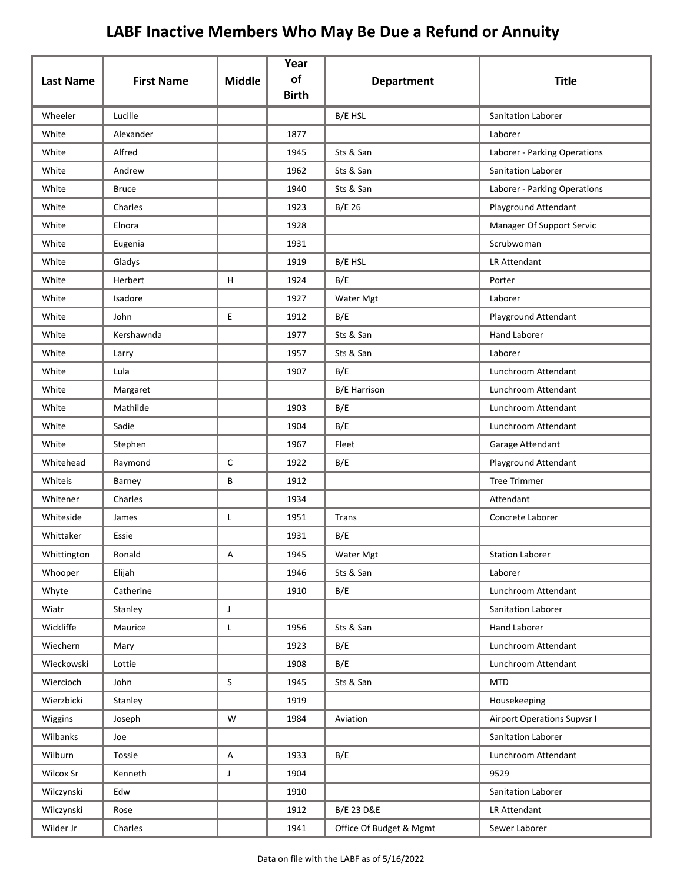| <b>Last Name</b> | <b>First Name</b> | <b>Middle</b> | Year<br><b>of</b><br><b>Birth</b> | <b>Department</b>       | <b>Title</b>                       |
|------------------|-------------------|---------------|-----------------------------------|-------------------------|------------------------------------|
| Wheeler          | Lucille           |               |                                   | <b>B/E HSL</b>          | Sanitation Laborer                 |
| White            | Alexander         |               | 1877                              |                         | Laborer                            |
| White            | Alfred            |               | 1945                              | Sts & San               | Laborer - Parking Operations       |
| White            | Andrew            |               | 1962                              | Sts & San               | Sanitation Laborer                 |
| White            | <b>Bruce</b>      |               | 1940                              | Sts & San               | Laborer - Parking Operations       |
| White            | Charles           |               | 1923                              | B/E 26                  | Playground Attendant               |
| White            | Elnora            |               | 1928                              |                         | Manager Of Support Servic          |
| White            | Eugenia           |               | 1931                              |                         | Scrubwoman                         |
| White            | Gladys            |               | 1919                              | B/E HSL                 | <b>LR Attendant</b>                |
| White            | Herbert           | H             | 1924                              | B/E                     | Porter                             |
| White            | Isadore           |               | 1927                              | Water Mgt               | Laborer                            |
| White            | John              | E             | 1912                              | B/E                     | Playground Attendant               |
| White            | Kershawnda        |               | 1977                              | Sts & San               | <b>Hand Laborer</b>                |
| White            | Larry             |               | 1957                              | Sts & San               | Laborer                            |
| White            | Lula              |               | 1907                              | B/E                     | Lunchroom Attendant                |
| White            | Margaret          |               |                                   | <b>B/E Harrison</b>     | Lunchroom Attendant                |
| White            | Mathilde          |               | 1903                              | B/E                     | Lunchroom Attendant                |
| White            | Sadie             |               | 1904                              | B/E                     | Lunchroom Attendant                |
| White            | Stephen           |               | 1967                              | Fleet                   | Garage Attendant                   |
| Whitehead        | Raymond           | $\mathsf{C}$  | 1922                              | B/E                     | Playground Attendant               |
| Whiteis          | Barney            | В             | 1912                              |                         | <b>Tree Trimmer</b>                |
| Whitener         | Charles           |               | 1934                              |                         | Attendant                          |
| Whiteside        | James             | Г             | 1951                              | Trans                   | Concrete Laborer                   |
| Whittaker        | Essie             |               | 1931                              | B/E                     |                                    |
| Whittington      | Ronald            | А             | 1945                              | Water Mgt               | <b>Station Laborer</b>             |
| Whooper          | Elijah            |               | 1946                              | Sts & San               | Laborer                            |
| Whyte            | Catherine         |               | 1910                              | B/E                     | Lunchroom Attendant                |
| Wiatr            | Stanley           | $\mathsf J$   |                                   |                         | Sanitation Laborer                 |
| Wickliffe        | Maurice           | L             | 1956                              | Sts & San               | Hand Laborer                       |
| Wiechern         | Mary              |               | 1923                              | B/E                     | Lunchroom Attendant                |
| Wieckowski       | Lottie            |               | 1908                              | B/E                     | Lunchroom Attendant                |
| Wiercioch        | John              | $\mathsf S$   | 1945                              | Sts & San               | <b>MTD</b>                         |
| Wierzbicki       | Stanley           |               | 1919                              |                         | Housekeeping                       |
| Wiggins          | Joseph            | W             | 1984                              | Aviation                | <b>Airport Operations Supvsr I</b> |
| Wilbanks         | Joe               |               |                                   |                         | Sanitation Laborer                 |
| Wilburn          | Tossie            | A             | 1933                              | B/E                     | Lunchroom Attendant                |
| Wilcox Sr        | Kenneth           | $\mathsf J$   | 1904                              |                         | 9529                               |
| Wilczynski       | Edw               |               | 1910                              |                         | Sanitation Laborer                 |
| Wilczynski       | Rose              |               | 1912                              | B/E 23 D&E              | LR Attendant                       |
| Wilder Jr        | Charles           |               | 1941                              | Office Of Budget & Mgmt | Sewer Laborer                      |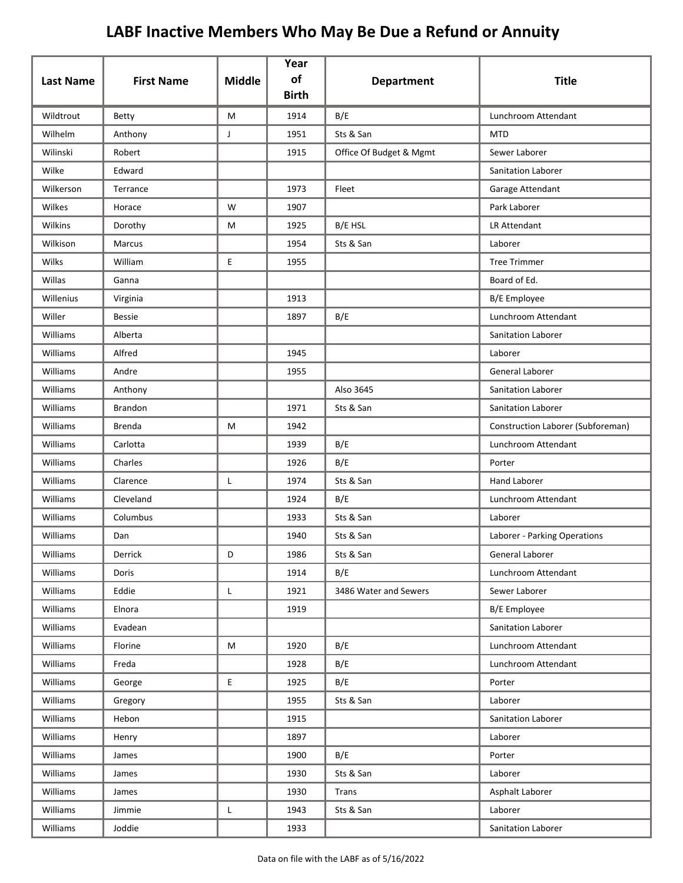| <b>Last Name</b> | <b>First Name</b> | <b>Middle</b>                              | Year<br>of<br><b>Birth</b> | <b>Department</b>       | <b>Title</b>                      |
|------------------|-------------------|--------------------------------------------|----------------------------|-------------------------|-----------------------------------|
| Wildtrout        | Betty             | M                                          | 1914                       | B/E                     | Lunchroom Attendant               |
| Wilhelm          | Anthony           | J                                          | 1951                       | Sts & San               | <b>MTD</b>                        |
| Wilinski         | Robert            |                                            | 1915                       | Office Of Budget & Mgmt | Sewer Laborer                     |
| Wilke            | Edward            |                                            |                            |                         | <b>Sanitation Laborer</b>         |
| Wilkerson        | Terrance          |                                            | 1973                       | Fleet                   | Garage Attendant                  |
| Wilkes           | Horace            | W                                          | 1907                       |                         | Park Laborer                      |
| Wilkins          | Dorothy           | M                                          | 1925                       | <b>B/E HSL</b>          | LR Attendant                      |
| Wilkison         | Marcus            |                                            | 1954                       | Sts & San               | Laborer                           |
| Wilks            | William           | E                                          | 1955                       |                         | <b>Tree Trimmer</b>               |
| Willas           | Ganna             |                                            |                            |                         | Board of Ed.                      |
| Willenius        | Virginia          |                                            | 1913                       |                         | <b>B/E</b> Employee               |
| Willer           | <b>Bessie</b>     |                                            | 1897                       | B/E                     | Lunchroom Attendant               |
| Williams         | Alberta           |                                            |                            |                         | Sanitation Laborer                |
| Williams         | Alfred            |                                            | 1945                       |                         | Laborer                           |
| Williams         | Andre             |                                            | 1955                       |                         | General Laborer                   |
| Williams         | Anthony           |                                            |                            | Also 3645               | Sanitation Laborer                |
| Williams         | <b>Brandon</b>    |                                            | 1971                       | Sts & San               | Sanitation Laborer                |
| Williams         | <b>Brenda</b>     | М                                          | 1942                       |                         | Construction Laborer (Subforeman) |
| Williams         | Carlotta          |                                            | 1939                       | B/E                     | Lunchroom Attendant               |
| Williams         | Charles           |                                            | 1926                       | B/E                     | Porter                            |
| Williams         | Clarence          | L                                          | 1974                       | Sts & San               | <b>Hand Laborer</b>               |
| Williams         | Cleveland         |                                            | 1924                       | B/E                     | Lunchroom Attendant               |
| Williams         | Columbus          |                                            | 1933                       | Sts & San               | Laborer                           |
| Williams         | Dan               |                                            | 1940                       | Sts & San               | Laborer - Parking Operations      |
| Williams         | Derrick           | D                                          | 1986                       | Sts & San               | General Laborer                   |
| Williams         | Doris             |                                            | 1914                       | B/E                     | Lunchroom Attendant               |
| Williams         | Eddie             | L                                          | 1921                       | 3486 Water and Sewers   | Sewer Laborer                     |
| Williams         | Elnora            |                                            | 1919                       |                         | B/E Employee                      |
| Williams         | Evadean           |                                            |                            |                         | Sanitation Laborer                |
| Williams         | Florine           | M                                          | 1920                       | B/E                     | Lunchroom Attendant               |
| Williams         | Freda             |                                            | 1928                       | B/E                     | Lunchroom Attendant               |
| Williams         | George            | $\mathsf{E}% _{0}\left( \mathsf{E}\right)$ | 1925                       | B/E                     | Porter                            |
| Williams         | Gregory           |                                            | 1955                       | Sts & San               | Laborer                           |
| Williams         | Hebon             |                                            | 1915                       |                         | Sanitation Laborer                |
| Williams         | Henry             |                                            | 1897                       |                         | Laborer                           |
| Williams         | James             |                                            | 1900                       | B/E                     | Porter                            |
| Williams         | James             |                                            | 1930                       | Sts & San               | Laborer                           |
| Williams         | James             |                                            | 1930                       | Trans                   | Asphalt Laborer                   |
| Williams         | Jimmie            | L.                                         | 1943                       | Sts & San               | Laborer                           |
| Williams         | Joddie            |                                            | 1933                       |                         | Sanitation Laborer                |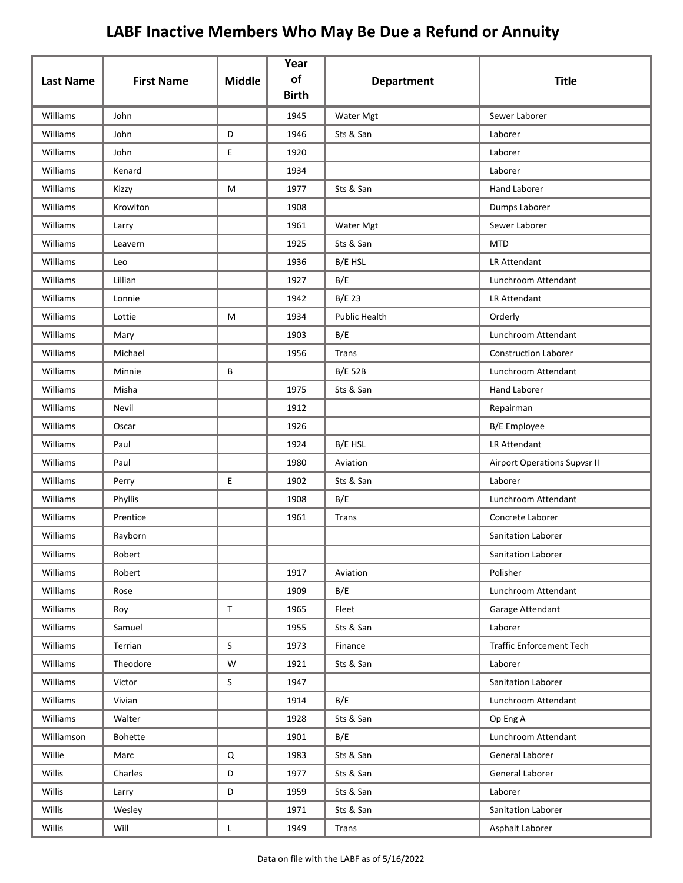|                  |                   |               | Year<br>of   |                   |                                     |
|------------------|-------------------|---------------|--------------|-------------------|-------------------------------------|
| <b>Last Name</b> | <b>First Name</b> | <b>Middle</b> | <b>Birth</b> | <b>Department</b> | <b>Title</b>                        |
| Williams         | John              |               | 1945         | Water Mgt         | Sewer Laborer                       |
| Williams         | John              | D             | 1946         | Sts & San         | Laborer                             |
| Williams         | John              | E             | 1920         |                   | Laborer                             |
| Williams         | Kenard            |               | 1934         |                   | Laborer                             |
| Williams         | Kizzy             | M             | 1977         | Sts & San         | <b>Hand Laborer</b>                 |
| Williams         | Krowlton          |               | 1908         |                   | Dumps Laborer                       |
| Williams         | Larry             |               | 1961         | Water Mgt         | Sewer Laborer                       |
| Williams         | Leavern           |               | 1925         | Sts & San         | <b>MTD</b>                          |
| Williams         | Leo               |               | 1936         | B/E HSL           | LR Attendant                        |
| Williams         | Lillian           |               | 1927         | B/E               | Lunchroom Attendant                 |
| Williams         | Lonnie            |               | 1942         | B/E 23            | LR Attendant                        |
| Williams         | Lottie            | M             | 1934         | Public Health     | Orderly                             |
| Williams         | Mary              |               | 1903         | B/E               | Lunchroom Attendant                 |
| Williams         | Michael           |               | 1956         | Trans             | <b>Construction Laborer</b>         |
| Williams         | Minnie            | B             |              | <b>B/E 52B</b>    | Lunchroom Attendant                 |
| Williams         | Misha             |               | 1975         | Sts & San         | <b>Hand Laborer</b>                 |
| Williams         | Nevil             |               | 1912         |                   | Repairman                           |
| Williams         | Oscar             |               | 1926         |                   | B/E Employee                        |
| Williams         | Paul              |               | 1924         | B/E HSL           | LR Attendant                        |
| Williams         | Paul              |               | 1980         | Aviation          | <b>Airport Operations Supvsr II</b> |
| Williams         | Perry             | E             | 1902         | Sts & San         | Laborer                             |
| Williams         | Phyllis           |               | 1908         | B/E               | Lunchroom Attendant                 |
| Williams         | Prentice          |               | 1961         | Trans             | Concrete Laborer                    |
| Williams         | Rayborn           |               |              |                   | Sanitation Laborer                  |
| Williams         | Robert            |               |              |                   | Sanitation Laborer                  |
| Williams         | Robert            |               | 1917         | Aviation          | Polisher                            |
| Williams         | Rose              |               | 1909         | B/E               | Lunchroom Attendant                 |
| Williams         | Roy               | $\mathsf T$   | 1965         | Fleet             | Garage Attendant                    |
| Williams         | Samuel            |               | 1955         | Sts & San         | Laborer                             |
| Williams         | Terrian           | S             | 1973         | Finance           | <b>Traffic Enforcement Tech</b>     |
| Williams         | Theodore          | W             | 1921         | Sts & San         | Laborer                             |
| Williams         | Victor            | S             | 1947         |                   | Sanitation Laborer                  |
| Williams         | Vivian            |               | 1914         | B/E               | Lunchroom Attendant                 |
| Williams         | Walter            |               | 1928         | Sts & San         | Op Eng A                            |
| Williamson       | Bohette           |               | 1901         | B/E               | Lunchroom Attendant                 |
| Willie           | Marc              | Q             | 1983         | Sts & San         | General Laborer                     |
| Willis           | Charles           | D             | 1977         | Sts & San         | General Laborer                     |
| Willis           | Larry             | D             | 1959         | Sts & San         | Laborer                             |
| Willis           | Wesley            |               | 1971         | Sts & San         | Sanitation Laborer                  |
| Willis           | Will              | L             | 1949         | Trans             | Asphalt Laborer                     |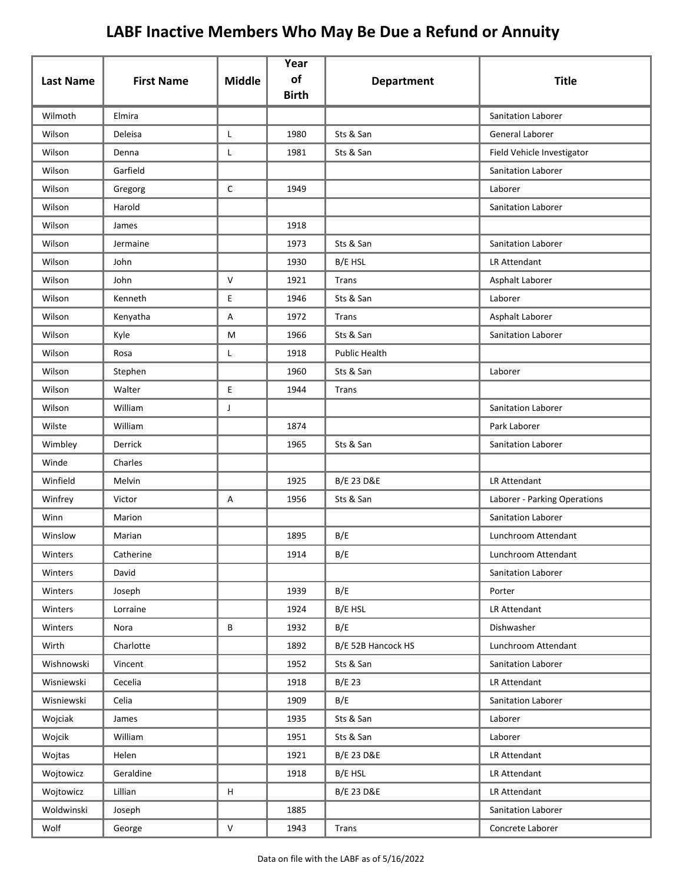|                  |                   |               | Year               |                       |                              |
|------------------|-------------------|---------------|--------------------|-----------------------|------------------------------|
| <b>Last Name</b> | <b>First Name</b> | <b>Middle</b> | of<br><b>Birth</b> | <b>Department</b>     | <b>Title</b>                 |
| Wilmoth          | Elmira            |               |                    |                       | Sanitation Laborer           |
| Wilson           | Deleisa           | $\mathsf{L}$  | 1980               | Sts & San             | General Laborer              |
| Wilson           | Denna             | L             | 1981               | Sts & San             | Field Vehicle Investigator   |
| Wilson           | Garfield          |               |                    |                       | <b>Sanitation Laborer</b>    |
| Wilson           | Gregorg           | C             | 1949               |                       | Laborer                      |
| Wilson           | Harold            |               |                    |                       | <b>Sanitation Laborer</b>    |
| Wilson           | James             |               | 1918               |                       |                              |
| Wilson           | Jermaine          |               | 1973               | Sts & San             | <b>Sanitation Laborer</b>    |
| Wilson           | John              |               | 1930               | B/E HSL               | LR Attendant                 |
| Wilson           | John              | V             | 1921               | Trans                 | Asphalt Laborer              |
| Wilson           | Kenneth           | E             | 1946               | Sts & San             | Laborer                      |
| Wilson           | Kenyatha          | Α             | 1972               | Trans                 | Asphalt Laborer              |
| Wilson           | Kyle              | M             | 1966               | Sts & San             | Sanitation Laborer           |
| Wilson           | Rosa              | L             | 1918               | <b>Public Health</b>  |                              |
| Wilson           | Stephen           |               | 1960               | Sts & San             | Laborer                      |
| Wilson           | Walter            | E             | 1944               | Trans                 |                              |
| Wilson           | William           | J             |                    |                       | Sanitation Laborer           |
| Wilste           | William           |               | 1874               |                       | Park Laborer                 |
| Wimbley          | Derrick           |               | 1965               | Sts & San             | Sanitation Laborer           |
| Winde            | Charles           |               |                    |                       |                              |
| Winfield         | Melvin            |               | 1925               | <b>B/E 23 D&amp;E</b> | LR Attendant                 |
| Winfrey          | Victor            | Α             | 1956               | Sts & San             | Laborer - Parking Operations |
| Winn             | Marion            |               |                    |                       | <b>Sanitation Laborer</b>    |
| Winslow          | Marian            |               | 1895               | B/E                   | Lunchroom Attendant          |
| Winters          | Catherine         |               | 1914               | B/E                   | Lunchroom Attendant          |
| Winters          | David             |               |                    |                       | Sanitation Laborer           |
| Winters          | Joseph            |               | 1939               | B/E                   | Porter                       |
| Winters          | Lorraine          |               | 1924               | B/E HSL               | LR Attendant                 |
| Winters          | Nora              | В             | 1932               | B/E                   | Dishwasher                   |
| Wirth            | Charlotte         |               | 1892               | B/E 52B Hancock HS    | Lunchroom Attendant          |
| Wishnowski       | Vincent           |               | 1952               | Sts & San             | Sanitation Laborer           |
| Wisniewski       | Cecelia           |               | 1918               | B/E 23                | LR Attendant                 |
| Wisniewski       | Celia             |               | 1909               | B/E                   | Sanitation Laborer           |
| Wojciak          | James             |               | 1935               | Sts & San             | Laborer                      |
| Wojcik           | William           |               | 1951               | Sts & San             | Laborer                      |
| Wojtas           | Helen             |               | 1921               | B/E 23 D&E            | LR Attendant                 |
| Wojtowicz        | Geraldine         |               | 1918               | B/E HSL               | LR Attendant                 |
| Wojtowicz        | Lillian           | H             |                    | <b>B/E 23 D&amp;E</b> | LR Attendant                 |
| Woldwinski       | Joseph            |               | 1885               |                       | Sanitation Laborer           |
| Wolf             | George            | V             | 1943               | Trans                 | Concrete Laborer             |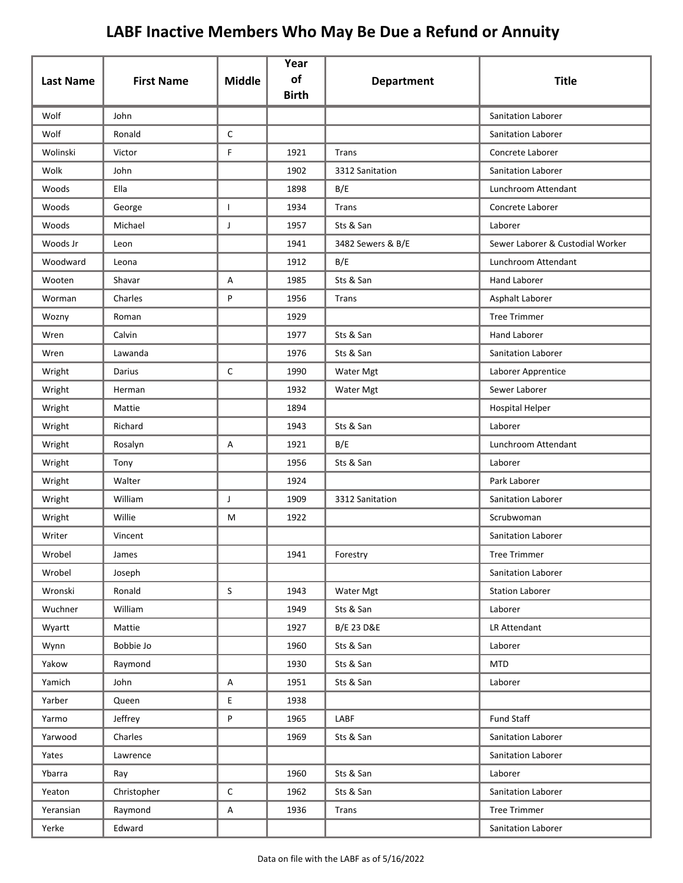| <b>Last Name</b> | <b>First Name</b> | <b>Middle</b>             | Year<br>of   | <b>Department</b>     | <b>Title</b>                     |
|------------------|-------------------|---------------------------|--------------|-----------------------|----------------------------------|
|                  |                   |                           | <b>Birth</b> |                       |                                  |
| Wolf             | John              |                           |              |                       | Sanitation Laborer               |
| Wolf             | Ronald            | $\mathsf C$               |              |                       | Sanitation Laborer               |
| Wolinski         | Victor            | F                         | 1921         | Trans                 | Concrete Laborer                 |
| Wolk             | John              |                           | 1902         | 3312 Sanitation       | Sanitation Laborer               |
| Woods            | Ella              |                           | 1898         | B/E                   | Lunchroom Attendant              |
| Woods            | George            | $\mathsf{I}$              | 1934         | Trans                 | Concrete Laborer                 |
| Woods            | Michael           | J                         | 1957         | Sts & San             | Laborer                          |
| Woods Jr         | Leon              |                           | 1941         | 3482 Sewers & B/E     | Sewer Laborer & Custodial Worker |
| Woodward         | Leona             |                           | 1912         | B/E                   | Lunchroom Attendant              |
| Wooten           | Shavar            | Α                         | 1985         | Sts & San             | <b>Hand Laborer</b>              |
| Worman           | Charles           | P                         | 1956         | Trans                 | Asphalt Laborer                  |
| Wozny            | Roman             |                           | 1929         |                       | <b>Tree Trimmer</b>              |
| Wren             | Calvin            |                           | 1977         | Sts & San             | <b>Hand Laborer</b>              |
| Wren             | Lawanda           |                           | 1976         | Sts & San             | Sanitation Laborer               |
| Wright           | Darius            | $\mathsf C$               | 1990         | Water Mgt             | Laborer Apprentice               |
| Wright           | Herman            |                           | 1932         | Water Mgt             | Sewer Laborer                    |
| Wright           | Mattie            |                           | 1894         |                       | <b>Hospital Helper</b>           |
| Wright           | Richard           |                           | 1943         | Sts & San             | Laborer                          |
| Wright           | Rosalyn           | Α                         | 1921         | B/E                   | Lunchroom Attendant              |
| Wright           | Tony              |                           | 1956         | Sts & San             | Laborer                          |
| Wright           | Walter            |                           | 1924         |                       | Park Laborer                     |
| Wright           | William           | J                         | 1909         | 3312 Sanitation       | Sanitation Laborer               |
| Wright           | Willie            | M                         | 1922         |                       | Scrubwoman                       |
| Writer           | Vincent           |                           |              |                       | Sanitation Laborer               |
| Wrobel           | James             |                           | 1941         | Forestry              | <b>Tree Trimmer</b>              |
| Wrobel           | Joseph            |                           |              |                       | Sanitation Laborer               |
| Wronski          | Ronald            | $\sf S$                   | 1943         | Water Mgt             | <b>Station Laborer</b>           |
| Wuchner          | William           |                           | 1949         | Sts & San             | Laborer                          |
| Wyartt           | Mattie            |                           | 1927         | <b>B/E 23 D&amp;E</b> | LR Attendant                     |
| Wynn             | Bobbie Jo         |                           | 1960         | Sts & San             | Laborer                          |
| Yakow            | Raymond           |                           | 1930         | Sts & San             | <b>MTD</b>                       |
| Yamich           | John              | A                         | 1951         | Sts & San             | Laborer                          |
| Yarber           | Queen             | E                         | 1938         |                       |                                  |
| Yarmo            | Jeffrey           | P                         | 1965         | LABF                  | Fund Staff                       |
| Yarwood          | Charles           |                           | 1969         | Sts & San             | Sanitation Laborer               |
| Yates            | Lawrence          |                           |              |                       | Sanitation Laborer               |
| Ybarra           | Ray               |                           | 1960         | Sts & San             | Laborer                          |
| Yeaton           | Christopher       | $\mathsf C$               | 1962         | Sts & San             | Sanitation Laborer               |
| Yeransian        | Raymond           | $\boldsymbol{\mathsf{A}}$ | 1936         | Trans                 | <b>Tree Trimmer</b>              |
| Yerke            | Edward            |                           |              |                       | Sanitation Laborer               |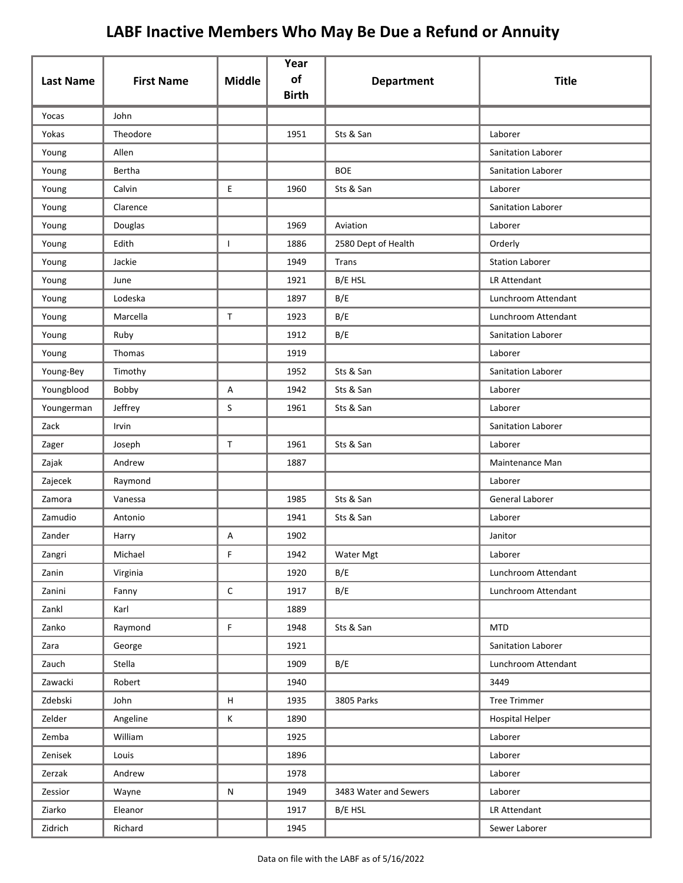|                  |                   |               | Year<br>of   |                       |                           |
|------------------|-------------------|---------------|--------------|-----------------------|---------------------------|
| <b>Last Name</b> | <b>First Name</b> | <b>Middle</b> | <b>Birth</b> | <b>Department</b>     | <b>Title</b>              |
| Yocas            | John              |               |              |                       |                           |
| Yokas            | Theodore          |               | 1951         | Sts & San             | Laborer                   |
| Young            | Allen             |               |              |                       | Sanitation Laborer        |
| Young            | Bertha            |               |              | <b>BOE</b>            | Sanitation Laborer        |
| Young            | Calvin            | E             | 1960         | Sts & San             | Laborer                   |
| Young            | Clarence          |               |              |                       | Sanitation Laborer        |
| Young            | Douglas           |               | 1969         | Aviation              | Laborer                   |
| Young            | Edith             | $\mathbf{I}$  | 1886         | 2580 Dept of Health   | Orderly                   |
| Young            | Jackie            |               | 1949         | Trans                 | <b>Station Laborer</b>    |
| Young            | June              |               | 1921         | B/E HSL               | <b>LR Attendant</b>       |
| Young            | Lodeska           |               | 1897         | B/E                   | Lunchroom Attendant       |
| Young            | Marcella          | $\top$        | 1923         | B/E                   | Lunchroom Attendant       |
| Young            | Ruby              |               | 1912         | B/E                   | Sanitation Laborer        |
| Young            | Thomas            |               | 1919         |                       | Laborer                   |
| Young-Bey        | Timothy           |               | 1952         | Sts & San             | <b>Sanitation Laborer</b> |
| Youngblood       | Bobby             | A             | 1942         | Sts & San             | Laborer                   |
| Youngerman       | Jeffrey           | S             | 1961         | Sts & San             | Laborer                   |
| Zack             | Irvin             |               |              |                       | Sanitation Laborer        |
| Zager            | Joseph            | $\mathsf{T}$  | 1961         | Sts & San             | Laborer                   |
| Zajak            | Andrew            |               | 1887         |                       | Maintenance Man           |
| Zajecek          | Raymond           |               |              |                       | Laborer                   |
| Zamora           | Vanessa           |               | 1985         | Sts & San             | General Laborer           |
| Zamudio          | Antonio           |               | 1941         | Sts & San             | Laborer                   |
| Zander           | Harry             | Α             | 1902         |                       | Janitor                   |
| Zangri           | Michael           | F             | 1942         | Water Mgt             | Laborer                   |
| Zanin            | Virginia          |               | 1920         | B/E                   | Lunchroom Attendant       |
| Zanini           | Fanny             | $\mathsf C$   | 1917         | B/E                   | Lunchroom Attendant       |
| Zankl            | Karl              |               | 1889         |                       |                           |
| Zanko            | Raymond           | F             | 1948         | Sts & San             | <b>MTD</b>                |
| Zara             | George            |               | 1921         |                       | Sanitation Laborer        |
| Zauch            | Stella            |               | 1909         | B/E                   | Lunchroom Attendant       |
| Zawacki          | Robert            |               | 1940         |                       | 3449                      |
| Zdebski          | John              | н             | 1935         | 3805 Parks            | <b>Tree Trimmer</b>       |
| Zelder           | Angeline          | K             | 1890         |                       | <b>Hospital Helper</b>    |
| Zemba            | William           |               | 1925         |                       | Laborer                   |
| Zenisek          | Louis             |               | 1896         |                       | Laborer                   |
| Zerzak           | Andrew            |               | 1978         |                       | Laborer                   |
| Zessior          | Wayne             | ${\sf N}$     | 1949         | 3483 Water and Sewers | Laborer                   |
| Ziarko           | Eleanor           |               | 1917         | B/E HSL               | LR Attendant              |
| Zidrich          | Richard           |               | 1945         |                       | Sewer Laborer             |